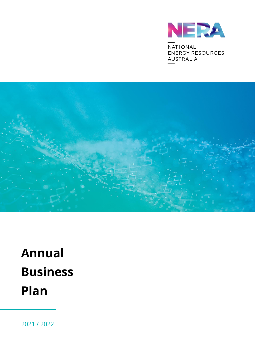

NATIONAL **ENERGY RESOURCES AUSTRALIA** 



# **Annual Business Plan**

2021 / 2022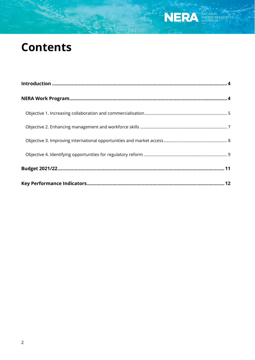## **Contents**

NERA ENERGY RESOURCES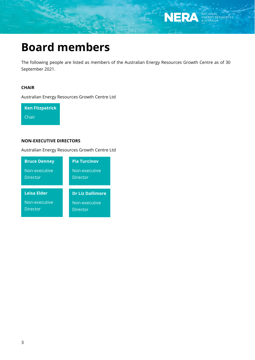

## **Board members**

The following people are listed as members of the Australian Energy Resources Growth Centre as of 30 September 2021.

#### **CHAIR**

Australian Energy Resources Growth Centre Ltd

**Ken Fitzpatrick** Chair

#### **NON-EXECUTIVE DIRECTORS**

Australian Energy Resources Growth Centre Ltd

| <b>Bruce Denney</b>       | <b>Pia Turcinov</b>              |
|---------------------------|----------------------------------|
| Non-executive<br>Director | Non-executive<br><b>Director</b> |
|                           |                                  |
| <b>Leisa Elder</b>        | <b>Dr Liz Dallimore</b>          |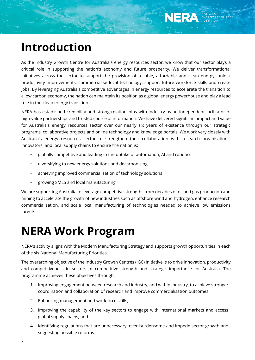

## <span id="page-3-0"></span>**Introduction**

As the Industry Growth Centre for Australia's energy resources sector, we know that our sector plays a critical role in supporting the nation's economy and future prosperity. We deliver transformational initiatives across the sector to support the provision of reliable, affordable and clean energy, unlock productivity improvements, commercialise local technology, support future workforce skills and create jobs. By leveraging Australia's competitive advantages in energy resources to accelerate the transition to a low carbon economy, the nation can maintain its position as a global energy powerhouse and play a lead role in the clean energy transition.

NERA has established credibility and strong relationships with industry as an independent facilitator of high-value partnerships and trusted source of information. We have delivered significant impact and value for Australia's energy resources sector over our nearly six years of existence through our strategic programs, collaborative projects and online technology and knowledge portals. We work very closely with Australia's energy resources sector to strengthen their collaboration with research organisations, innovators, and local supply chains to ensure the nation is:

- globally competitive and leading in the uptake of automation, AI and robotics
- diversifying to new energy solutions and decarbonising
- achieving improved commercialisation of technology solutions
- growing SMES and local manufacturing

We are supporting Australia to leverage competitive strengths from decades of oil and gas production and mining to accelerate the growth of new industries such as offshore wind and hydrogen, enhance research commercialisation, and scale local manufacturing of technologies needed to achieve low emissions targets.

## <span id="page-3-1"></span>**NERA Work Program**

NERA's activity aligns with the Modern Manufacturing Strategy and supports growth opportunities in each of the six National Manufacturing Priorities.

The overarching objective of the Industry Growth Centres (IGC) Initiative is to drive innovation, productivity and competitiveness in sectors of competitive strength and strategic importance for Australia. The programme achieves these objectives through:

- 1. Improving engagement between research and industry, and within industry, to achieve stronger coordination and collaboration of research and improve commercialisation outcomes;
- 2. Enhancing management and workforce skills;
- 3. Improving the capability of the key sectors to engage with international markets and access global supply chains; and
- 4. Identifying regulations that are unnecessary, over-burdensome and impede sector growth and suggesting possible reforms.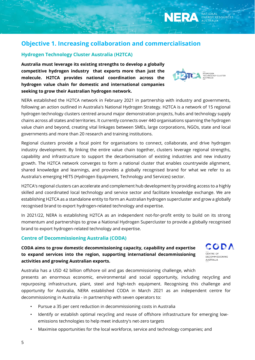### <span id="page-4-0"></span>**Objective 1. Increasing collaboration and commercialisation**

#### **Hydrogen Technology Cluster Australia (H2TCA)**

**Australia must leverage its existing strengths to develop a globally competitive hydrogen industry that exports more than just the molecule. H2TCA provides national coordination across the hydrogen value chain for domestic and international companies seeking to grow their Australian hydrogen network.**



**NERA** 

NERA established the H2TCA network in February 2021 in partnership with industry and governments, following an action outlined in Australia's National Hydrogen Strategy. H2TCA is a network of 15 regional hydrogen technology clusters centred around major demonstration projects, hubs and technology supply chains across all states and territories. It currently connects over 440 organisations spanning the hydrogen value chain and beyond, creating vital linkages between SMEs, large corporations, NGOs, state and local governments and more than 20 research and training institutions.

Regional clusters provide a focal point for organisations to connect, collaborate, and drive hydrogen industry development. By linking the entire value chain together, clusters leverage regional strengths, capability and infrastructure to support the decarbonisation of existing industries and new industry growth. The H2TCA network converges to form a national cluster that enables countrywide alignment, shared knowledge and learnings, and provides a globally recognised brand for what we refer to as Australia's emerging HETS (Hydrogen Equipment, Technology and Services) sector.

H2TCA's regional clusters can accelerate and complement hub development by providing access to a highly skilled and coordinated local technology and service sector and facilitate knowledge exchange. We are establishing H2TCA as a standalone entity to form an Australian hydrogen supercluster and grow a globally recognised brand to export hydrogen-related technology and expertise.

In 2021/22, NERA is establishing H2TCA as an independent not-for-profit entity to build on its strong momentum and partnerships to grow a National Hydrogen Supercluster to provide a globally recognised brand to export hydrogen-related technology and expertise.

#### **Centre of Decommissioning Australia (CODA)**

### **CODA aims to grow domestic decommissioning capacity, capability and expertise to expand services into the region, supporting international decommissioning activities and growing Australian exports.**



Australia has a USD 42 billion offshore oil and gas decommissioning challenge, which presents an enormous economic, environmental and social opportunity, including recycling and repurposing infrastructure, plant, steel and high-tech equipment. Recognising this challenge and opportunity for Australia, NERA established CODA in March 2021 as an independent centre for decommissioning in Australia - in partnership with seven operators to:

- Pursue a 35 per cent reduction in decommissioning costs in Australia
- Identify or establish optimal recycling and reuse of offshore infrastructure for emerging lowemissions technologies to help meet industry's net-zero targets
- Maximise opportunities for the local workforce, service and technology companies; and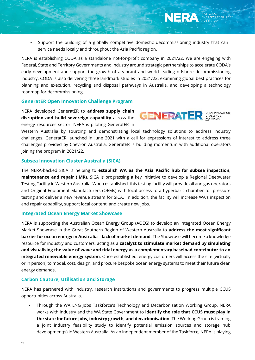• Support the building of a globally competitive domestic decommissioning industry that can service needs locally and throughout the Asia Pacific region.

NERA is establishing CODA as a standalone not-for-profit company in 2021/22. We are engaging with Federal, State and Territory Governments and industry around strategic partnerships to accelerate CODA's early development and support the growth of a vibrant and world-leading offshore decommissioning industry. CODA is also delivering three landmark studies in 2021/22, examining global best practices for planning and execution, recycling and disposal pathways in Australia, and developing a technology roadmap for decommissioning.

#### **GeneratER Open Innovation Challenge Program**

NERA developed GeneratER to **address supply chain disruption and build sovereign capability** across the energy resources sector. NERA is piloting GeneratER in



NERA

Western Australia by sourcing and demonstrating local technology solutions to address industry challenges. GeneratER launched in June 2021 with a call for expressions of interest to address three challenges provided by Chevron Australia. GeneratER is building momentum with additional operators joining the program in 2021/22.

#### **Subsea Innovation Cluster Australia (SICA)**

The NERA-backed SICA is helping to **establish WA as the Asia Pacific hub for subsea inspection, maintenance and repair (IMR)**. SICA is progressing a key initiative to develop a Regional Deepwater Testing Facility in Western Australia. When established, this testing facility will provide oil and gas operators and Original Equipment Manufacturers (OEMs) with local access to a hyperbaric chamber for pressure testing and deliver a new revenue stream for SICA. In addition, the facility will increase WA's inspection and repair capability, support local content, and create new jobs.

#### **Integrated Ocean Energy Market Showcase**

NERA is supporting the Australian Ocean Energy Group (AOEG) to develop an Integrated Ocean Energy Market Showcase in the Great Southern Region of Western Australia to **address the most significant barrier for ocean energy in Australia – lack of market demand**. The Showcase will become a knowledge resource for industry and customers, acting as a **catalyst to stimulate market demand by simulating and visualising the value of wave and tidal energy as a complementary baseload contributor to an integrated renewable energy system**. Once established, energy customers will access the site (virtually or in person) to model, cost, design, and procure bespoke ocean energy systems to meet their future clean energy demands.

#### **Carbon Capture, Utilisation and Storage**

NERA has partnered with industry, research institutions and governments to progress multiple CCUS opportunities across Australia.

• Through the WA LNG Jobs Taskforce's Technology and Decarbonisation Working Group, NERA works with industry and the WA State Government to **identify the role that CCUS must play in the state for future jobs, industry growth, and decarbonisation**. The Working Group is framing a joint industry feasibility study to identify potential emission sources and storage hub development(s) in Western Australia. As an independent member of the Taskforce, NERA is playing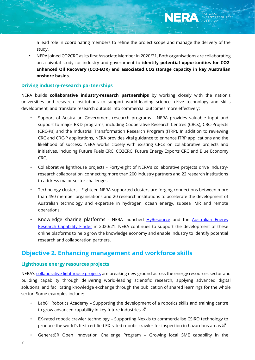a lead role in coordinating members to refine the project scope and manage the delivery of the study.

• NERA joined CO2CRC as its first Associate Member in 2020/21. Both organisations are collaborating on a pivotal study for industry and government to **identify potential opportunities for CO2- Enhanced Oil Recovery (CO2-EOR) and associated CO2 storage capacity in key Australian onshore basins**.

#### **Driving industry-research partnerships**

NERA builds **collaborative industry-research partnerships** by working closely with the nation's universities and research institutions to support world-leading science, drive technology and skills development, and translate research outputs into commercial outcomes more effectively:

- Support of Australian Government research programs NERA provides valuable input and support to major R&D programs, including Cooperative Research Centres (CRCs), CRC-Projects (CRC-Ps) and the Industrial Transformation Research Program (ITRP). In addition to reviewing CRC and CRC-P applications, NERA provides vital guidance to enhance ITRP applications and the likelihood of success. NERA works closely with existing CRCs on collaborative projects and initiatives, including Future Fuels CRC, CO2CRC, Future Energy Exports CRC and Blue Economy CRC.
- Collaborative lighthouse projects Forty-eight of NERA's collaborative projects drive industryresearch collaboration, connecting more than 200 industry partners and 22 research institutions to address major sector challenges.
- Technology clusters Eighteen NERA-supported clusters are forging connections between more than 450 member organisations and 20 research institutions to accelerate the development of Australian technology and expertise in hydrogen, ocean energy, subsea IMR and remote operations.
- Knowledge sharing platforms NERA launched [HyResource](https://research.csiro.au/hyresource/) and the Australian Energy [Research Capability Finder](https://www.nera.org.au/aercf) in 2020/21. NERA continues to support the development of these online platforms to help grow the knowledge economy and enable industry to identify potential research and collaboration partners.

### <span id="page-6-0"></span>**Objective 2. Enhancing management and workforce skills**

#### **Lighthouse energy resources projects**

NERA'[s collaborative lighthouse projects](https://www.nera.org.au/NERA-projects) are breaking new ground across the energy resources sector and building capability through delivering world-leading scientific research, applying advanced digital solutions, and facilitating knowledge exchange through the publication of shared learnings for the whole sector. Some examples include:

- Lab61 Robotics Academy Supporting the development of a robotics skills and training centre to grow advanced capability in key future industries  $\mathbb{C}$
- EX-rated robotic crawler technology Supporting Nexxis to commercialise CSIRO technology to produce the world's first certified EX-rated robotic crawler for inspection in hazardous areas  $G$
- GeneratER Open Innovation Challenge Program Growing local SME capability in the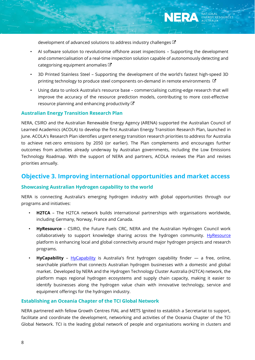developmentof advanced solutions to address industry challenges  $\mathbb{Z}$ 

- AI software solution to revolutionise offshore asset inspections Supporting the development and commercialisation of a real-time inspection solution capable of autonomously detecting and categorising equipment anomalies  $G$
- 3D Printed Stainless Steel Supporting the development of the world's fastest high-speed 3D printing technology to produce steel components on-demand in remote environments  $G$
- Using data to unlock Australia's resource base commercialising cutting-edge research that will improve the accuracy of the resource prediction models, contributing to more cost-effective resource planning and enhancing productivity  $\mathbb{Z}$

#### **Australian Energy Transition Research Plan**

NERA, CSIRO and the Australian Renewable Energy Agency (ARENA) supported the Australian Council of Learned Academics (ACOLA) to develop the first Australian Energy Transition Research Plan, launched in June. ACOLA's Research Plan identifies urgent energy transition research priorities to address for Australia to achieve net-zero emissions by 2050 (or earlier). The Plan complements and encourages further outcomes from activities already underway by Australian governments, including the Low Emissions Technology Roadmap. With the support of NERA and partners, ACOLA reviews the Plan and revises priorities annually.

### <span id="page-7-0"></span>**Objective 3. Improving international opportunities and market access**

#### **Showcasing Australian Hydrogen capability to the world**

NERA is connecting Australia's emerging hydrogen industry with global opportunities through our programs and initiatives:

- **H2TCA** The H2TCA network builds international partnerships with organisations worldwide, including Germany, Norway, France and Canada.
- **HyResource** CSIRO, the Future Fuels CRC, NERA and the Australian Hydrogen Council work collaboratively to support knowledge sharing across the hydrogen community. [HyResource](https://research.csiro.au/hyresource/) platform is enhancing local and global connectivity around major hydrogen projects and research programs.
- **HyCapability**  [HyCapability](https://www.nera.org.au/hycapability) is Australia's first hydrogen capability finder a free, online, searchable platform that connects Australian hydrogen businesses with a domestic and global market. Developed by NERA and the [Hydrogen Technology Cluster Australia \(H2TCA\) network,](https://www.nera.org.au/regional-hydrogen-technology-clusters) the platform maps regional hydrogen ecosystems and supply chain capacity, making it easier to identify businesses along the hydrogen value chain with innovative technology, service and equipment offerings for the hydrogen industry.

#### **Establishing an Oceania Chapter of the TCI Global Network**

NERA partnered with fellow Growth Centres FIAL and METS Ignited to establish a Secretariat to support, facilitate and coordinate the development, networking and activities of the Oceania Chapter of the TCI Global Network. TCI is the leading global network of people and organisations working in clusters and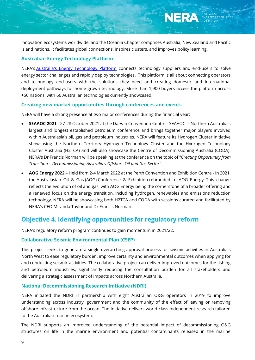innovation ecosystems worldwide, and the Oceania Chapter comprises Australia, New Zealand and Pacific Island nations. It facilitates global connections, inspires clusters, and improves policy learning.

#### **Australian Energy Technology Platform**

NERA's [Australia's Energy Technology Platform](https://australia.energytechnologyplatform.com/) connects technology suppliers and end-users to solve energy sector challenges and rapidly deploy technologies. This platform is all about connecting operators and technology end-users with the solutions they need and creating domestic and international deployment pathways for home-grown technology. More than 1,900 buyers access the platform across +50 nations, with 66 Australian technologies currently showcased.

#### **Creating new market opportunities through conferences and events**

NERA will have a strong presence at two major conferences during the financial year:

- **SEAAOC 2021 -** 27-28 October 2021 at the Darwin Convention Centre SEAAOC is Northern Australia's largest and longest established petroleum conference and brings together major players involved within Australasia's oil, gas and petroleum industries. NERA will feature its Hydrogen Cluster Initiative showcasing the Northern Territory Hydrogen Technology Cluster and the Hydrogen Technology Cluster Australia (H2TCA) and will also showcase the Centre of Decommissioning Australia (CODA). NERA's Dr Francis Norman will be speaking at the conference on the topic of "*Creating Opportunity from Transition – Decommissioning Australia's Offshore Oil and Gas Sector".*
- **AOG Energy 2022**  Held from 2-4 March 2022 at the Perth Convention and Exhibition Centre In 2021, the Australasian Oil & Gas (AOG) Conference & Exhibition rebranded to AOG Energy. This change reflects the evolution of oil and gas, with AOG Energy being the cornerstone of a broader offering and a renewed focus on the energy transition, including hydrogen, renewables and emissions reduction technology. NERA will be showcasing both H2TCA and CODA with sessions curated and facilitated by NERA's CEO Miranda Taylor and Dr Francis Norman.

### <span id="page-8-0"></span>**Objective 4. Identifying opportunities for regulatory reform**

NERA's regulatory reform program continues to gain momentum in 2021/22.

#### **Collaborative Seismic Environmental Plan (CSEP)**

This project seeks to generate a single overarching approval process for seismic activities in Australia's North West to ease regulatory burden, improve certainty and environmental outcomes when applying for and conducting seismic activities. The collaborative project can deliver improved outcomes for the fishing and petroleum industries, significantly reducing the consultation burden for all stakeholders and delivering a strategic assessment of impacts across Northern Australia.

#### **National Decommissioning Research Initiative (NDRI)**

NERA initiated the NDRI in partnership with eight Australian O&G operators in 2019 to improve understanding across industry, government and the community of the effect of leaving or removing offshore infrastructure from the ocean. The Initiative delivers world-class independent research tailored to the Australian marine ecosystem.

The NDRI supports an improved understanding of the potential impact of decommissioning O&G structures on life in the marine environment and potential contaminants released in the marine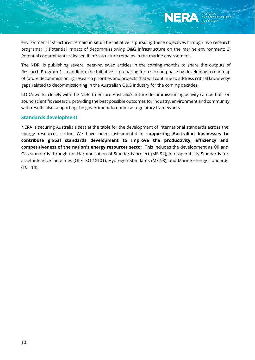environment if structures remain in situ. The Initiative is pursuing these objectives through two research programs: 1) Potential impact of decommissioning O&G infrastructure on the marine environment; 2) Potential contaminants released if infrastructure remains in the marine environment.

The NDRI is publishing several peer-reviewed articles in the coming months to share the outputs of Research Program 1. In addition, the Initiative is preparing for a second phase by developing a roadmap of future decommissioning research priorities and projects that will continue to address critical knowledge gaps related to decommissioning in the Australian O&G industry for the coming decades.

CODA works closely with the NDRI to ensure Australia's future decommissioning activity can be built on sound scientific research, providing the best possible outcomes for industry, environment and community, with results also supporting the government to optimise regulatory frameworks.

#### **Standards development**

NERA is securing Australia's seat at the table for the development of international standards across the energy resources sector. We have been instrumental in **supporting Australian businesses to contribute global standards development to improve the productivity, efficiency and competitiveness of the nation's energy resources sector**. This includes the development as Oil and Gas standards through the Harmonisation of Standards project (ME-92); Interoperability Standards for asset intensive industries (OIIE ISO 18101); Hydrogen Standards (ME-93); and Marine energy standards (TC 114).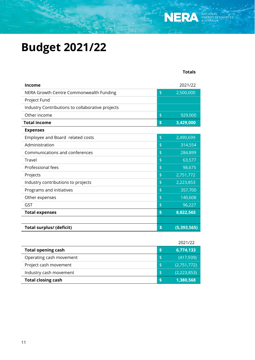## <span id="page-10-0"></span>**Budget 2021/22**

| <b>Income</b>                                    |               | 2021/22       |
|--------------------------------------------------|---------------|---------------|
| NERA Growth Centre Commonwealth Funding          | \$            | 2,500,000     |
| Project Fund                                     |               |               |
| Industry Contributions to collaborative projects |               |               |
| Other income                                     | $\frac{4}{5}$ | 929,000       |
| <b>Total income</b>                              | \$            | 3,429,000     |
| <b>Expenses</b>                                  |               |               |
| Employee and Board related costs                 | $\frac{4}{5}$ | 2,490,699     |
| Administration                                   | $\frac{4}{5}$ | 314,554       |
| Communications and conferences                   | \$            | 284,899       |
| Travel                                           | \$            | 63,577        |
| Professional fees                                | \$            | 98,675        |
| Projects                                         | \$            | 2,751,772     |
| Industry contributions to projects               | \$            | 2,223,853     |
| Programs and initiatives                         | \$            | 357,700       |
| Other expenses                                   | \$            | 140,608       |
| GST                                              | \$            | 96,227        |
| <b>Total expenses</b>                            | \$            | 8,822,565     |
|                                                  |               |               |
| <b>Total surplus/ (deficit)</b>                  | \$            | (5, 393, 565) |

2021/22

 **Totals** 

|                           | 2021177             |
|---------------------------|---------------------|
| <b>Total opening cash</b> | 6,774,133           |
| Operating cash movement   | \$<br>(417, 939)    |
| Project cash movement     | \$<br>(2,751,772)   |
| Industry cash movement    | \$<br>(2, 223, 853) |
| <b>Total closing cash</b> | 1,380,568           |
|                           |                     |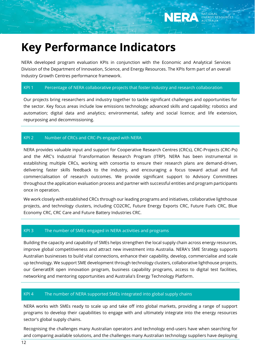## <span id="page-11-0"></span>**Key Performance Indicators**

NERA developed program evaluation KPIs in conjunction with the Economic and Analytical Services Division of the Department of Innovation, Science, and Energy Resources. The KPIs form part of an overall Industry Growth Centres performance framework.

#### KPI 1 Percentage of NERA collaborative projects that foster industry and research collaboration

Our projects bring researchers and industry together to tackle significant challenges and opportunities for the sector. Key focus areas include low emissions technology; advanced skills and capability; robotics and automation; digital data and analytics; environmental, safety and social licence; and life extension, repurposing and decommissioning.

#### KPI 2 Number of CRCs and CRC-Ps engaged with NERA

NERA provides valuable input and support for Cooperative Research Centres (CRCs), CRC-Projects (CRC-Ps) and the ARC's Industrial Transformation Research Program (ITRP). NERA has been instrumental in establishing multiple CRCs, working with consortia to ensure their research plans are demand-driven, delivering faster skills feedback to the industry, and encouraging a focus toward actual and full commercialisation of research outcomes. We provide significant support to Advisory Committees throughout the application evaluation process and partner with successful entities and program participants once in operation.

We work closely with established CRCs through our leading programs and initiatives, collaborative lighthouse projects, and technology clusters, including CO2CRC, Future Energy Exports CRC, Future Fuels CRC, Blue Economy CRC, CRC Care and Future Battery Industries CRC.

#### KPI 3 The number of SMEs engaged in NERA activities and programs

Building the capacity and capability of SMEs helps strengthen the local supply chain across energy resources, improve global competitiveness and attract new investment into Australia. NERA's SME Strategy supports Australian businesses to build vital connections, enhance their capability, develop, commercialise and scale up technology. We support SME development through technology clusters, collaborative lighthouse projects, our GeneratER open innovation program, business capability programs, access to digital test facilities, networking and mentoring opportunities and Australia's Energy Technology Platform.

#### KPI 4 The number of NERA supported SMEs integrated into global supply chains

NERA works with SMEs ready to scale up and take off into global markets, providing a range of support programs to develop their capabilities to engage with and ultimately integrate into the energy resources sector's global supply chains.

Recognising the challenges many Australian operators and technology end-users have when searching for and comparing available solutions, and the challenges many Australian technology suppliers have deploying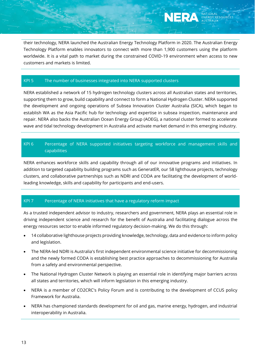their technology, NERA launched the Australian Energy Technology Platform in 2020. The Australian Energy Technology Platform enables innovators to connect with more than 1,900 customers using the platform worldwide. It is a vital path to market during the constrained COVID-19 environment when access to new customers and markets is limited.

#### KPI 5 The number of businesses integrated into NERA supported clusters

NERA established a network of 15 hydrogen technology clusters across all Australian states and territories, supporting them to grow, build capability and connect to form a National Hydrogen Cluster. NERA supported the development and ongoing operations of Subsea Innovation Cluster Australia (SICA), which began to establish WA as the Asia Pacific hub for technology and expertise in subsea inspection, maintenance and repair. NERA also backs the Australian Ocean Energy Group (AOEG), a national cluster formed to accelerate wave and tidal technology development in Australia and activate market demand in this emerging industry.

### KPI 6 Percentage of NERA supported initiatives targeting workforce and management skills and capabilities

NERA enhances workforce skills and capability through all of our innovative programs and initiatives. In addition to targeted capability building programs such as GeneratER, our 58 lighthouse projects, technology clusters, and collaborative partnerships such as NDRI and CODA are facilitating the development of worldleading knowledge, skills and capability for participants and end-users.

#### KPI 7 Percentage of NERA initiatives that have a regulatory reform impact

As a trusted independent advisor to industry, researchers and government, NERA plays an essential role in driving independent science and research for the benefit of Australia and facilitating dialogue across the energy resources sector to enable informed regulatory decision-making. We do this through:

- 14 collaborative lighthouse projects providing knowledge, technology, data and evidence to inform policy and legislation.
- The NERA-led NDRI is Australia's first independent environmental science initiative for decommissioning and the newly formed CODA is establishing best practice approaches to decommissioning for Australia from a safety and environmental perspective.
- The National Hydrogen Cluster Network is playing an essential role in identifying major barriers across all states and territories, which will inform legislation in this emerging industry.
- NERA is a member of CO2CRC's Policy Forum and is contributing to the development of CCUS policy Framework for Australia.
- NERA has championed standards development for oil and gas, marine energy, hydrogen, and industrial interoperability in Australia.